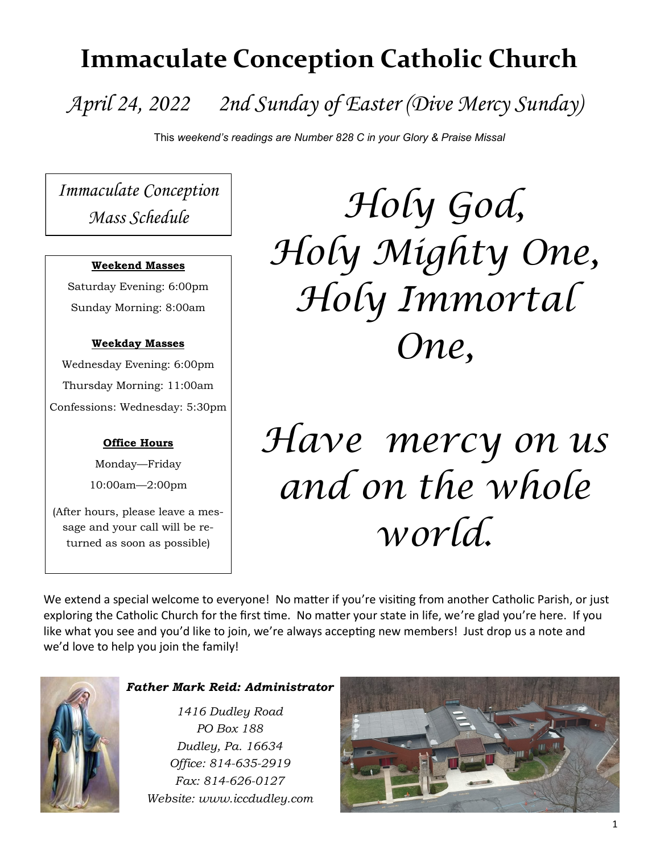# **Immaculate Conception Catholic Church**

# *April 24, 2022 2nd Sunday of Easter (Dive Mercy Sunday)*

This *weekend's readings are Number 828 C in your Glory & Praise Missal*

*Immaculate Conception Mass Schedule*

# **Weekend Masses**

Saturday Evening: 6:00pm Sunday Morning: 8:00am

# **Weekday Masses**

Wednesday Evening: 6:00pm Thursday Morning: 11:00am Confessions: Wednesday: 5:30pm

# **Office Hours**

Monday—Friday 10:00am—2:00pm

(After hours, please leave a message and your call will be returned as soon as possible)

*Holy God, Holy Mighty One, Holy Immortal One,*

# *Have mercy on us and on the whole world.*

We extend a special welcome to everyone! No matter if you're visiting from another Catholic Parish, or just exploring the Catholic Church for the first time. No matter your state in life, we're glad you're here. If you like what you see and you'd like to join, we're always accepting new members! Just drop us a note and we'd love to help you join the family!



# *Father Mark Reid: Administrator*

*1416 Dudley Road PO Box 188 Dudley, Pa. 16634 Office: 814-635-2919 Fax: 814-626-0127 Website: www.iccdudley.com*

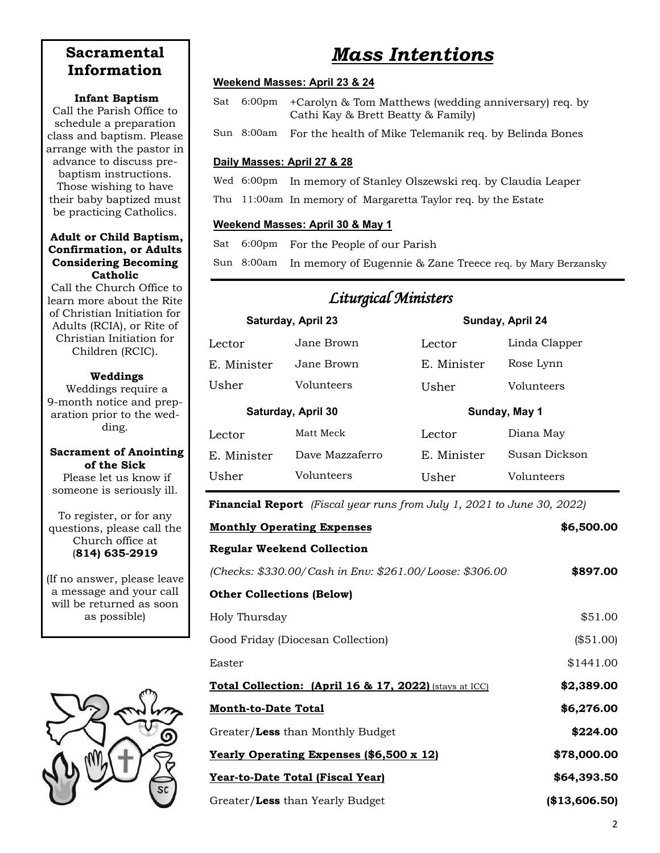# **Sacramental Information**

### **Infant Baptism**

Call the Parish Office to schedule a preparation class and baptism. Please arrange with the pastor in advance to discuss prebaptism instructions. Those wishing to have their baby baptized must be practicing Catholics.

### **Adult or Child Baptism, Confirmation, or Adults Considering Becoming Catholic**

Call the Church Office to learn more about the Rite of Christian Initiation for Adults (RCIA), or Rite of Christian Initiation for Children (RCIC).

# **Weddings**

Weddings require a 9-month notice and preparation prior to the wedding.

# **Sacrament of Anointing of the Sick**

Please let us know if someone is seriously ill.

To register, or for any questions, please call the Church office at (**814) 635-2919**

(If no answer, please leave a message and your call will be returned as soon as possible)



# *Mass Intentions*

# **Weekend Masses: April 23 & 24**

- Sat 6:00pm +Carolyn & Tom Matthews (wedding anniversary) req. by Cathi Kay & Brett Beatty & Family)
- Sun 8:00am For the health of Mike Telemanik req. by Belinda Bones

# **Daily Masses: April 27 & 28**

- Wed 6:00pm In memory of Stanley Olszewski req. by Claudia Leaper
- Thu 11:00am In memory of Margaretta Taylor req. by the Estate

# **Weekend Masses: April 30 & May 1**

Sat 6:00pm For the People of our Parish

Sun 8:00am In memory of Eugennie & Zane Treece req. by Mary Berzansky

*Liturgical Ministers* 

| Livurgicae situaciones |                 |                  |               |  |
|------------------------|-----------------|------------------|---------------|--|
| Saturday, April 23     |                 | Sunday, April 24 |               |  |
| Lector                 | Jane Brown      | Lector           | Linda Clapper |  |
| E. Minister            | Jane Brown      | E. Minister      | Rose Lynn     |  |
| Usher                  | Volunteers      | Usher            | Volunteers    |  |
| Saturday, April 30     |                 | Sunday, May 1    |               |  |
|                        |                 |                  |               |  |
| Lector                 | Matt Meck       | Lector           | Diana Mav     |  |
| E. Minister            | Dave Mazzaferro | E. Minister      | Susan Dickson |  |

**Financial Report** *(Fiscal year runs from July 1, 2021 to June 30, 2022)*

| <b>Monthly Operating Expenses</b>                                 | \$6,500.00    |  |
|-------------------------------------------------------------------|---------------|--|
| <b>Regular Weekend Collection</b>                                 |               |  |
| (Checks: \$330.00/Cash in Env: \$261.00/Loose: \$306.00           | \$897.00      |  |
| <b>Other Collections (Below)</b>                                  |               |  |
| Holy Thursday                                                     | \$51.00       |  |
| Good Friday (Diocesan Collection)                                 | (\$51.00)     |  |
| Easter                                                            | \$1441.00     |  |
| <b>Total Collection: (April 16 &amp; 17, 2022)</b> (stays at ICC) | \$2,389.00    |  |
| <b>Month-to-Date Total</b>                                        | \$6,276.00    |  |
| Greater/Less than Monthly Budget                                  | \$224.00      |  |
| <b>Yearly Operating Expenses (\$6,500 x 12)</b>                   | \$78,000.00   |  |
| Year-to-Date Total (Fiscal Year)                                  | \$64,393.50   |  |
| Greater/Less than Yearly Budget                                   | (\$13,606.50) |  |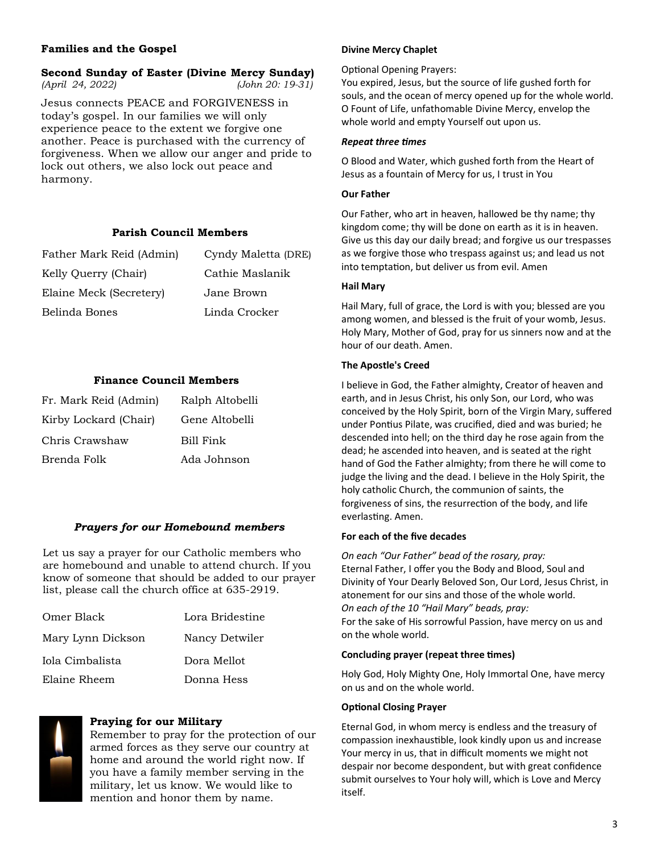# **Families and the Gospel**

# **Second Sunday of Easter (Divine Mercy Sunday)**

*(April 24, 2022) (John 20: 19-31)*

Jesus connects PEACE and FORGIVENESS in today's gospel. In our families we will only experience peace to the extent we forgive one another. Peace is purchased with the currency of forgiveness. When we allow our anger and pride to lock out others, we also lock out peace and harmony.

#### **Parish Council Members**

| Father Mark Reid (Admin) | Cyndy Maletta (DRE) |
|--------------------------|---------------------|
| Kelly Querry (Chair)     | Cathie Maslanik     |
| Elaine Meck (Secretery)  | Jane Brown          |
| Belinda Bones            | Linda Crocker       |

### **Finance Council Members**

| Fr. Mark Reid (Admin) | Ralph Altobelli |
|-----------------------|-----------------|
| Kirby Lockard (Chair) | Gene Altobelli  |
| Chris Crawshaw        | Bill Fink       |
| Brenda Folk           | Ada Johnson     |

### *Prayers for our Homebound members*

Let us say a prayer for our Catholic members who are homebound and unable to attend church. If you know of someone that should be added to our prayer list, please call the church office at 635-2919.

| Omer Black        | Lora Bridestine |
|-------------------|-----------------|
| Mary Lynn Dickson | Nancy Detwiler  |
| Iola Cimbalista   | Dora Mellot     |
| Elaine Rheem      | Donna Hess      |



#### **Praying for our Military**

Remember to pray for the protection of our armed forces as they serve our country at home and around the world right now. If you have a family member serving in the military, let us know. We would like to mention and honor them by name.

#### **Divine Mercy Chaplet**

#### Optional Opening Prayers:

You expired, Jesus, but the source of life gushed forth for souls, and the ocean of mercy opened up for the whole world. O Fount of Life, unfathomable Divine Mercy, envelop the whole world and empty Yourself out upon us.

#### *Repeat three times*

O Blood and Water, which gushed forth from the Heart of Jesus as a fountain of Mercy for us, I trust in You

#### **Our Father**

Our Father, who art in heaven, hallowed be thy name; thy kingdom come; thy will be done on earth as it is in heaven. Give us this day our daily bread; and forgive us our trespasses as we forgive those who trespass against us; and lead us not into temptation, but deliver us from evil. Amen

#### **Hail Mary**

Hail Mary, full of grace, the Lord is with you; blessed are you among women, and blessed is the fruit of your womb, Jesus. Holy Mary, Mother of God, pray for us sinners now and at the hour of our death. Amen.

#### **The Apostle's Creed**

I believe in God, the Father almighty, Creator of heaven and earth, and in Jesus Christ, his only Son, our Lord, who was conceived by the Holy Spirit, born of the Virgin Mary, suffered under Pontius Pilate, was crucified, died and was buried; he descended into hell; on the third day he rose again from the dead; he ascended into heaven, and is seated at the right hand of God the Father almighty; from there he will come to judge the living and the dead. I believe in the Holy Spirit, the holy catholic Church, the communion of saints, the forgiveness of sins, the resurrection of the body, and life everlasting. Amen.

#### **For each of the five decades**

*On each "Our Father" bead of the rosary, pray:* Eternal Father, I offer you the Body and Blood, Soul and Divinity of Your Dearly Beloved Son, Our Lord, Jesus Christ, in atonement for our sins and those of the whole world. *On each of the 10 "Hail Mary" beads, pray:*  For the sake of His sorrowful Passion, have mercy on us and on the whole world.

#### **Concluding prayer (repeat three times)**

Holy God, Holy Mighty One, Holy Immortal One, have mercy on us and on the whole world.

#### **Optional Closing Prayer**

Eternal God, in whom mercy is endless and the treasury of compassion inexhaustible, look kindly upon us and increase Your mercy in us, that in difficult moments we might not despair nor become despondent, but with great confidence submit ourselves to Your holy will, which is Love and Mercy itself.